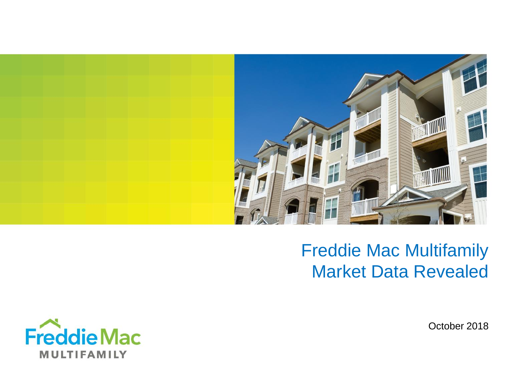

# Freddie Mac Multifamily Market Data Revealed



October 2018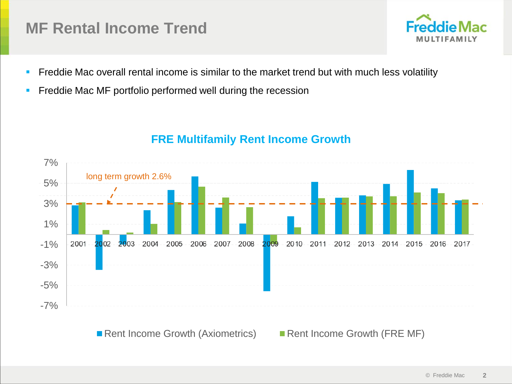### **MF Rental Income Trend**



- **•** Freddie Mac overall rental income is similar to the market trend but with much less volatility
- **Freddie Mac MF portfolio performed well during the recession**



### **FRE Multifamily Rent Income Growth**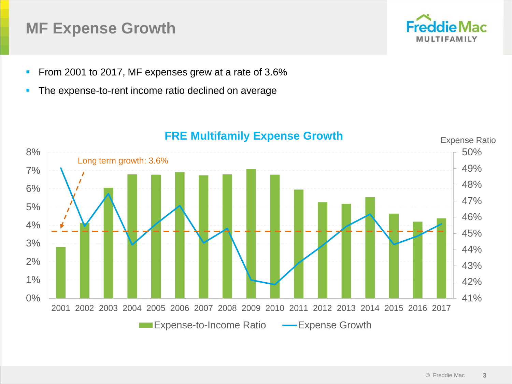### **MF Expense Growth**



- **From 2001 to 2017, MF expenses grew at a rate of 3.6%**
- **The expense-to-rent income ratio declined on average**



#### **FRE Multifamily Expense Growth**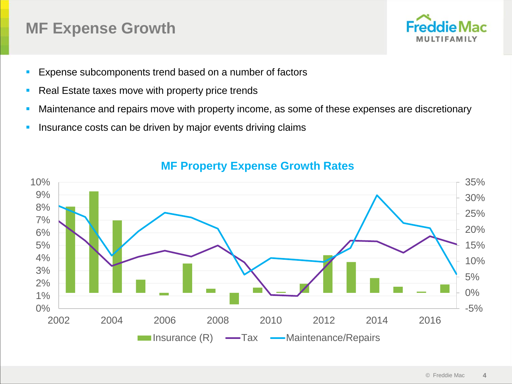### **MF Expense Growth**



- Expense subcomponents trend based on a number of factors
- Real Estate taxes move with property price trends
- Maintenance and repairs move with property income, as some of these expenses are discretionary
- **EXTER** Insurance costs can be driven by major events driving claims



#### **MF Property Expense Growth Rates**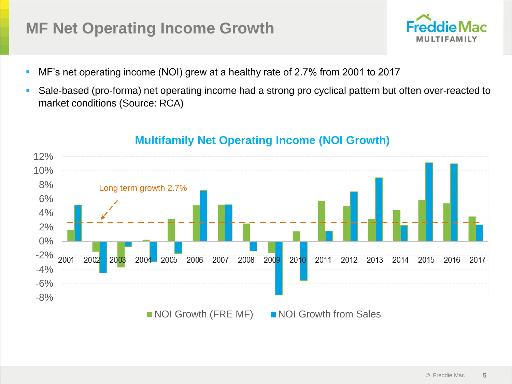## **MF Net Operating Income Growth**

- MF's net operating income (NOI) grew at a healthy rate of 2.7% from 2001 to 2017
- Sale-based (pro-forma) net operating income had a strong pro cyclical pattern but often over-reacted to market conditions (Source: RCA)



#### **Multifamily Net Operating Income (NOI Growth)**

ddie

MULTIFAMILY

 $ac$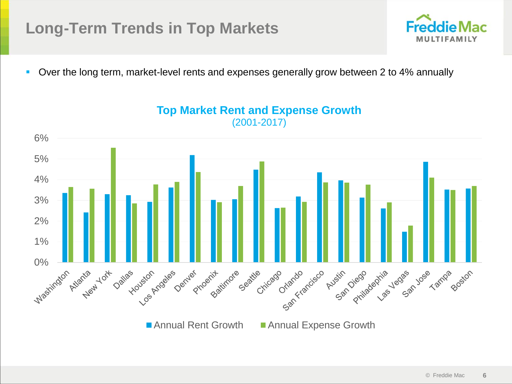## **Long-Term Trends in Top Markets**



■ Over the long term, market-level rents and expenses generally grow between 2 to 4% annually



**Top Market Rent and Expense Growth** (2001-2017)